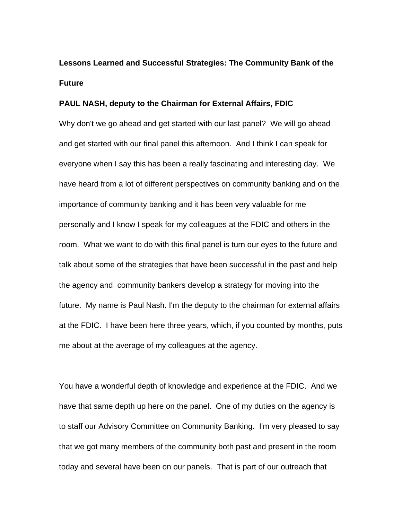# **Lessons Learned and Successful Strategies: The Community Bank of the Future**

#### **PAUL NASH, deputy to the Chairman for External Affairs, FDIC**

Why don't we go ahead and get started with our last panel? We will go ahead and get started with our final panel this afternoon. And I think I can speak for everyone when I say this has been a really fascinating and interesting day. We have heard from a lot of different perspectives on community banking and on the importance of community banking and it has been very valuable for me personally and I know I speak for my colleagues at the FDIC and others in the room. What we want to do with this final panel is turn our eyes to the future and talk about some of the strategies that have been successful in the past and help the agency and community bankers develop a strategy for moving into the future. My name is Paul Nash. I'm the deputy to the chairman for external affairs at the FDIC. I have been here three years, which, if you counted by months, puts me about at the average of my colleagues at the agency.

You have a wonderful depth of knowledge and experience at the FDIC. And we have that same depth up here on the panel. One of my duties on the agency is to staff our Advisory Committee on Community Banking. I'm very pleased to say that we got many members of the community both past and present in the room today and several have been on our panels. That is part of our outreach that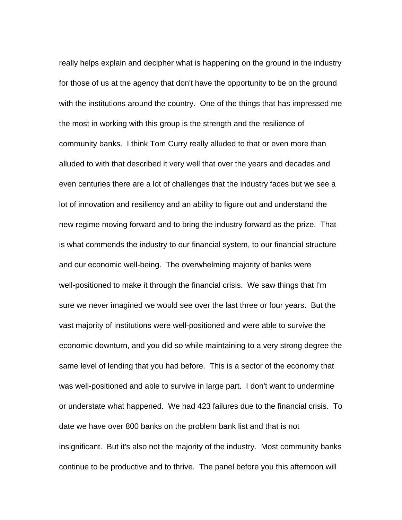really helps explain and decipher what is happening on the ground in the industry for those of us at the agency that don't have the opportunity to be on the ground with the institutions around the country. One of the things that has impressed me the most in working with this group is the strength and the resilience of community banks. I think Tom Curry really alluded to that or even more than alluded to with that described it very well that over the years and decades and even centuries there are a lot of challenges that the industry faces but we see a lot of innovation and resiliency and an ability to figure out and understand the new regime moving forward and to bring the industry forward as the prize. That is what commends the industry to our financial system, to our financial structure and our economic well-being. The overwhelming majority of banks were well-positioned to make it through the financial crisis. We saw things that I'm sure we never imagined we would see over the last three or four years. But the vast majority of institutions were well-positioned and were able to survive the economic downturn, and you did so while maintaining to a very strong degree the same level of lending that you had before. This is a sector of the economy that was well-positioned and able to survive in large part. I don't want to undermine or understate what happened. We had 423 failures due to the financial crisis. To date we have over 800 banks on the problem bank list and that is not insignificant. But it's also not the majority of the industry. Most community banks continue to be productive and to thrive. The panel before you this afternoon will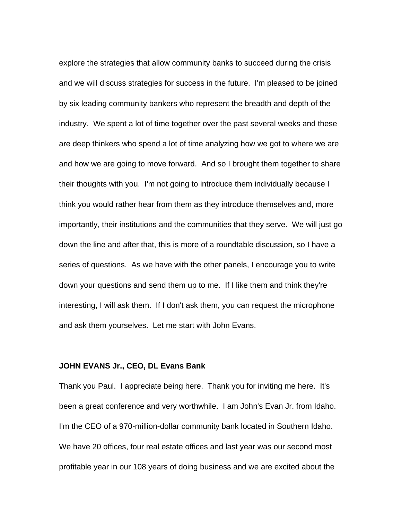explore the strategies that allow community banks to succeed during the crisis and we will discuss strategies for success in the future. I'm pleased to be joined by six leading community bankers who represent the breadth and depth of the industry. We spent a lot of time together over the past several weeks and these are deep thinkers who spend a lot of time analyzing how we got to where we are and how we are going to move forward. And so I brought them together to share their thoughts with you. I'm not going to introduce them individually because I think you would rather hear from them as they introduce themselves and, more importantly, their institutions and the communities that they serve. We will just go down the line and after that, this is more of a roundtable discussion, so I have a series of questions. As we have with the other panels, I encourage you to write down your questions and send them up to me. If I like them and think they're interesting, I will ask them. If I don't ask them, you can request the microphone and ask them yourselves. Let me start with John Evans.

#### **JOHN EVANS Jr., CEO, DL Evans Bank**

Thank you Paul. I appreciate being here. Thank you for inviting me here. It's been a great conference and very worthwhile. I am John's Evan Jr. from Idaho. I'm the CEO of a 970-million-dollar community bank located in Southern Idaho. We have 20 offices, four real estate offices and last year was our second most profitable year in our 108 years of doing business and we are excited about the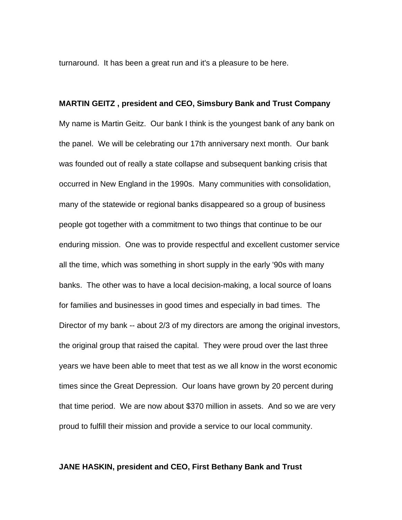turnaround. It has been a great run and it's a pleasure to be here.

# **MARTIN GEITZ , president and CEO, Simsbury Bank and Trust Company**  My name is Martin Geitz. Our bank I think is the youngest bank of any bank on the panel. We will be celebrating our 17th anniversary next month. Our bank was founded out of really a state collapse and subsequent banking crisis that occurred in New England in the 1990s. Many communities with consolidation, many of the statewide or regional banks disappeared so a group of business people got together with a commitment to two things that continue to be our enduring mission. One was to provide respectful and excellent customer service all the time, which was something in short supply in the early '90s with many banks. The other was to have a local decision-making, a local source of loans for families and businesses in good times and especially in bad times. The Director of my bank -- about 2/3 of my directors are among the original investors, the original group that raised the capital. They were proud over the last three years we have been able to meet that test as we all know in the worst economic times since the Great Depression. Our loans have grown by 20 percent during that time period. We are now about \$370 million in assets. And so we are very proud to fulfill their mission and provide a service to our local community.

#### **JANE HASKIN, president and CEO, First Bethany Bank and Trust**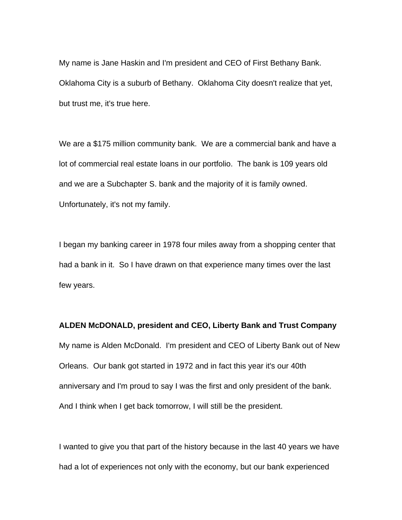My name is Jane Haskin and I'm president and CEO of First Bethany Bank. Oklahoma City is a suburb of Bethany. Oklahoma City doesn't realize that yet, but trust me, it's true here.

We are a \$175 million community bank. We are a commercial bank and have a lot of commercial real estate loans in our portfolio. The bank is 109 years old and we are a Subchapter S. bank and the majority of it is family owned. Unfortunately, it's not my family.

I began my banking career in 1978 four miles away from a shopping center that had a bank in it. So I have drawn on that experience many times over the last few years.

**ALDEN McDONALD, president and CEO, Liberty Bank and Trust Company**  My name is Alden McDonald. I'm president and CEO of Liberty Bank out of New Orleans. Our bank got started in 1972 and in fact this year it's our 40th anniversary and I'm proud to say I was the first and only president of the bank. And I think when I get back tomorrow, I will still be the president.

I wanted to give you that part of the history because in the last 40 years we have had a lot of experiences not only with the economy, but our bank experienced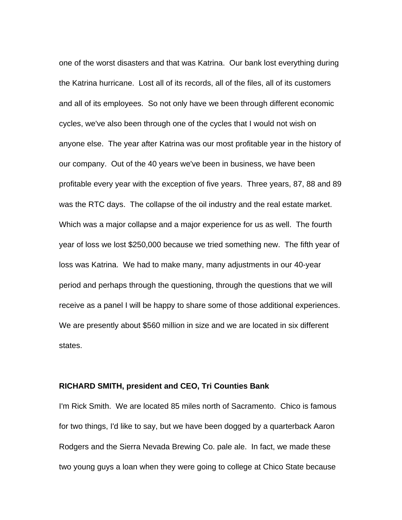one of the worst disasters and that was Katrina. Our bank lost everything during the Katrina hurricane. Lost all of its records, all of the files, all of its customers and all of its employees. So not only have we been through different economic cycles, we've also been through one of the cycles that I would not wish on anyone else. The year after Katrina was our most profitable year in the history of our company. Out of the 40 years we've been in business, we have been profitable every year with the exception of five years. Three years, 87, 88 and 89 was the RTC days. The collapse of the oil industry and the real estate market. Which was a major collapse and a major experience for us as well. The fourth year of loss we lost \$250,000 because we tried something new. The fifth year of loss was Katrina. We had to make many, many adjustments in our 40-year period and perhaps through the questioning, through the questions that we will receive as a panel I will be happy to share some of those additional experiences. We are presently about \$560 million in size and we are located in six different states.

#### **RICHARD SMITH, president and CEO, Tri Counties Bank**

I'm Rick Smith. We are located 85 miles north of Sacramento. Chico is famous for two things, I'd like to say, but we have been dogged by a quarterback Aaron Rodgers and the Sierra Nevada Brewing Co. pale ale. In fact, we made these two young guys a loan when they were going to college at Chico State because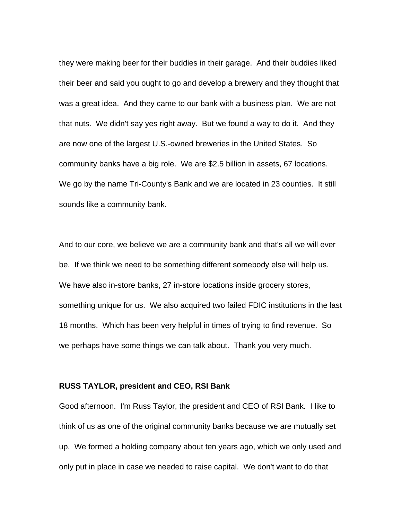they were making beer for their buddies in their garage. And their buddies liked their beer and said you ought to go and develop a brewery and they thought that was a great idea. And they came to our bank with a business plan. We are not that nuts. We didn't say yes right away. But we found a way to do it. And they are now one of the largest U.S.-owned breweries in the United States. So community banks have a big role. We are \$2.5 billion in assets, 67 locations. We go by the name Tri-County's Bank and we are located in 23 counties. It still sounds like a community bank.

And to our core, we believe we are a community bank and that's all we will ever be. If we think we need to be something different somebody else will help us. We have also in-store banks, 27 in-store locations inside grocery stores, something unique for us. We also acquired two failed FDIC institutions in the last 18 months. Which has been very helpful in times of trying to find revenue. So we perhaps have some things we can talk about. Thank you very much.

#### **RUSS TAYLOR, president and CEO, RSI Bank**

Good afternoon. I'm Russ Taylor, the president and CEO of RSI Bank. I like to think of us as one of the original community banks because we are mutually set up. We formed a holding company about ten years ago, which we only used and only put in place in case we needed to raise capital. We don't want to do that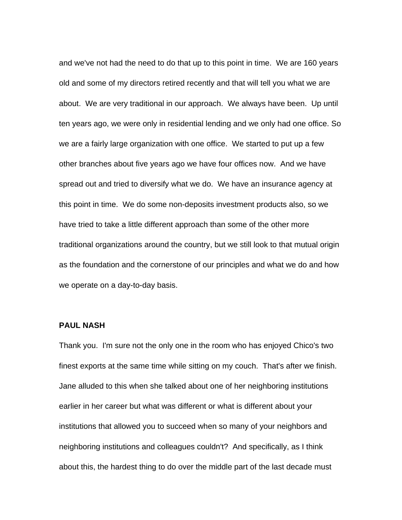and we've not had the need to do that up to this point in time. We are 160 years old and some of my directors retired recently and that will tell you what we are about. We are very traditional in our approach. We always have been. Up until ten years ago, we were only in residential lending and we only had one office. So we are a fairly large organization with one office. We started to put up a few other branches about five years ago we have four offices now. And we have spread out and tried to diversify what we do. We have an insurance agency at this point in time. We do some non-deposits investment products also, so we have tried to take a little different approach than some of the other more traditional organizations around the country, but we still look to that mutual origin as the foundation and the cornerstone of our principles and what we do and how we operate on a day-to-day basis.

#### **PAUL NASH**

Thank you. I'm sure not the only one in the room who has enjoyed Chico's two finest exports at the same time while sitting on my couch. That's after we finish. Jane alluded to this when she talked about one of her neighboring institutions earlier in her career but what was different or what is different about your institutions that allowed you to succeed when so many of your neighbors and neighboring institutions and colleagues couldn't? And specifically, as I think about this, the hardest thing to do over the middle part of the last decade must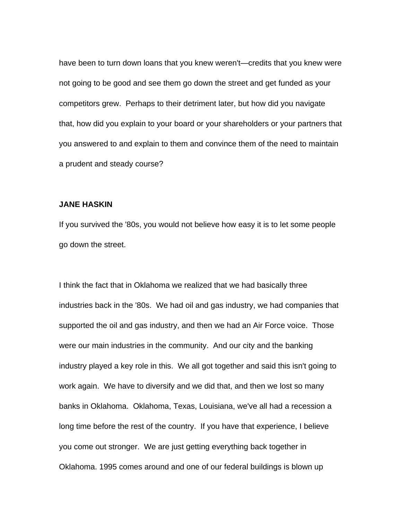have been to turn down loans that you knew weren't—credits that you knew were not going to be good and see them go down the street and get funded as your competitors grew. Perhaps to their detriment later, but how did you navigate that, how did you explain to your board or your shareholders or your partners that you answered to and explain to them and convince them of the need to maintain a prudent and steady course?

#### **JANE HASKIN**

If you survived the '80s, you would not believe how easy it is to let some people go down the street.

I think the fact that in Oklahoma we realized that we had basically three industries back in the '80s. We had oil and gas industry, we had companies that supported the oil and gas industry, and then we had an Air Force voice. Those were our main industries in the community. And our city and the banking industry played a key role in this. We all got together and said this isn't going to work again. We have to diversify and we did that, and then we lost so many banks in Oklahoma. Oklahoma, Texas, Louisiana, we've all had a recession a long time before the rest of the country. If you have that experience, I believe you come out stronger. We are just getting everything back together in Oklahoma. 1995 comes around and one of our federal buildings is blown up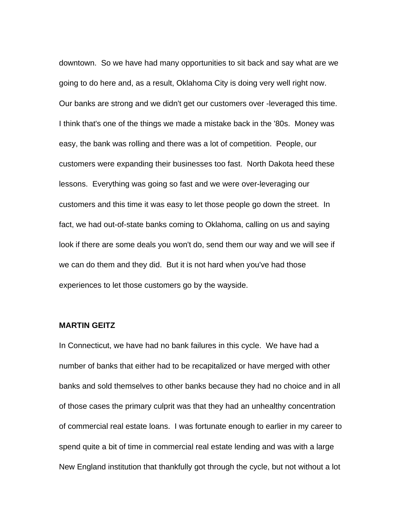downtown. So we have had many opportunities to sit back and say what are we going to do here and, as a result, Oklahoma City is doing very well right now. Our banks are strong and we didn't get our customers over -leveraged this time. I think that's one of the things we made a mistake back in the '80s. Money was easy, the bank was rolling and there was a lot of competition. People, our customers were expanding their businesses too fast. North Dakota heed these lessons. Everything was going so fast and we were over-leveraging our customers and this time it was easy to let those people go down the street. In fact, we had out-of-state banks coming to Oklahoma, calling on us and saying look if there are some deals you won't do, send them our way and we will see if we can do them and they did. But it is not hard when you've had those experiences to let those customers go by the wayside.

#### **MARTIN GEITZ**

In Connecticut, we have had no bank failures in this cycle. We have had a number of banks that either had to be recapitalized or have merged with other banks and sold themselves to other banks because they had no choice and in all of those cases the primary culprit was that they had an unhealthy concentration of commercial real estate loans. I was fortunate enough to earlier in my career to spend quite a bit of time in commercial real estate lending and was with a large New England institution that thankfully got through the cycle, but not without a lot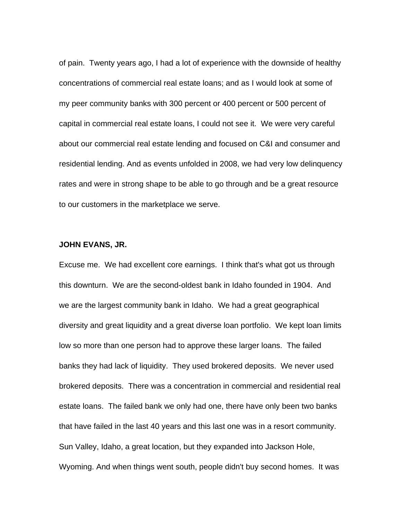of pain. Twenty years ago, I had a lot of experience with the downside of healthy concentrations of commercial real estate loans; and as I would look at some of my peer community banks with 300 percent or 400 percent or 500 percent of capital in commercial real estate loans, I could not see it. We were very careful about our commercial real estate lending and focused on C&I and consumer and residential lending. And as events unfolded in 2008, we had very low delinquency rates and were in strong shape to be able to go through and be a great resource to our customers in the marketplace we serve.

#### **JOHN EVANS, JR.**

Excuse me. We had excellent core earnings. I think that's what got us through this downturn. We are the second-oldest bank in Idaho founded in 1904. And we are the largest community bank in Idaho. We had a great geographical diversity and great liquidity and a great diverse loan portfolio. We kept loan limits low so more than one person had to approve these larger loans. The failed banks they had lack of liquidity. They used brokered deposits. We never used brokered deposits. There was a concentration in commercial and residential real estate loans. The failed bank we only had one, there have only been two banks that have failed in the last 40 years and this last one was in a resort community. Sun Valley, Idaho, a great location, but they expanded into Jackson Hole, Wyoming. And when things went south, people didn't buy second homes. It was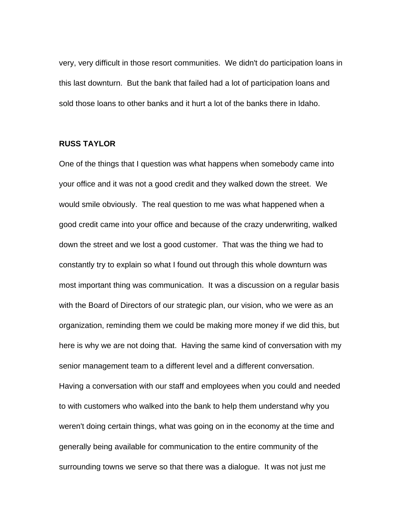very, very difficult in those resort communities. We didn't do participation loans in this last downturn. But the bank that failed had a lot of participation loans and sold those loans to other banks and it hurt a lot of the banks there in Idaho.

#### **RUSS TAYLOR**

One of the things that I question was what happens when somebody came into your office and it was not a good credit and they walked down the street. We would smile obviously. The real question to me was what happened when a good credit came into your office and because of the crazy underwriting, walked down the street and we lost a good customer. That was the thing we had to constantly try to explain so what I found out through this whole downturn was most important thing was communication. It was a discussion on a regular basis with the Board of Directors of our strategic plan, our vision, who we were as an organization, reminding them we could be making more money if we did this, but here is why we are not doing that. Having the same kind of conversation with my senior management team to a different level and a different conversation. Having a conversation with our staff and employees when you could and needed to with customers who walked into the bank to help them understand why you weren't doing certain things, what was going on in the economy at the time and generally being available for communication to the entire community of the surrounding towns we serve so that there was a dialogue. It was not just me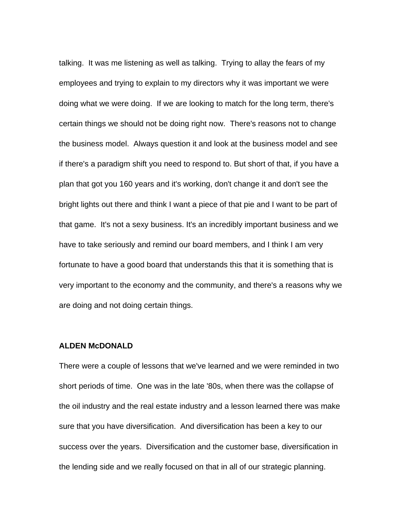talking. It was me listening as well as talking. Trying to allay the fears of my employees and trying to explain to my directors why it was important we were doing what we were doing. If we are looking to match for the long term, there's certain things we should not be doing right now. There's reasons not to change the business model. Always question it and look at the business model and see if there's a paradigm shift you need to respond to. But short of that, if you have a plan that got you 160 years and it's working, don't change it and don't see the bright lights out there and think I want a piece of that pie and I want to be part of that game. It's not a sexy business. It's an incredibly important business and we have to take seriously and remind our board members, and I think I am very fortunate to have a good board that understands this that it is something that is very important to the economy and the community, and there's a reasons why we are doing and not doing certain things.

#### **ALDEN McDONALD**

There were a couple of lessons that we've learned and we were reminded in two short periods of time. One was in the late '80s, when there was the collapse of the oil industry and the real estate industry and a lesson learned there was make sure that you have diversification. And diversification has been a key to our success over the years. Diversification and the customer base, diversification in the lending side and we really focused on that in all of our strategic planning.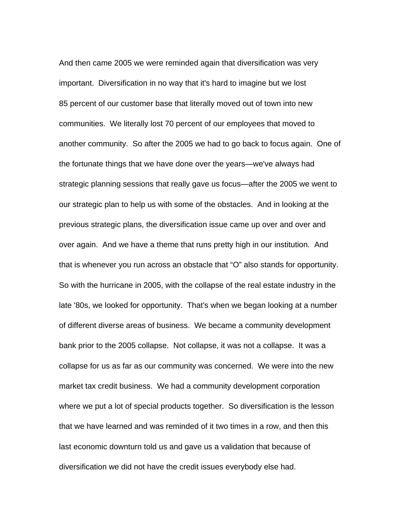And then came 2005 we were reminded again that diversification was very important. Diversification in no way that it's hard to imagine but we lost 85 percent of our customer base that literally moved out of town into new communities. We literally lost 70 percent of our employees that moved to another community. So after the 2005 we had to go back to focus again. One of the fortunate things that we have done over the years—we've always had strategic planning sessions that really gave us focus—after the 2005 we went to our strategic plan to help us with some of the obstacles. And in looking at the previous strategic plans, the diversification issue came up over and over and over again. And we have a theme that runs pretty high in our institution. And that is whenever you run across an obstacle that "O" also stands for opportunity. So with the hurricane in 2005, with the collapse of the real estate industry in the late '80s, we looked for opportunity. That's when we began looking at a number of different diverse areas of business. We became a community development bank prior to the 2005 collapse. Not collapse, it was not a collapse. It was a collapse for us as far as our community was concerned. We were into the new market tax credit business. We had a community development corporation where we put a lot of special products together. So diversification is the lesson that we have learned and was reminded of it two times in a row, and then this last economic downturn told us and gave us a validation that because of diversification we did not have the credit issues everybody else had.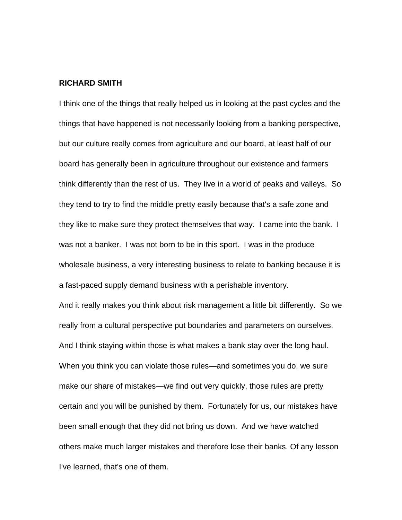#### **RICHARD SMITH**

I think one of the things that really helped us in looking at the past cycles and the things that have happened is not necessarily looking from a banking perspective, but our culture really comes from agriculture and our board, at least half of our board has generally been in agriculture throughout our existence and farmers think differently than the rest of us. They live in a world of peaks and valleys. So they tend to try to find the middle pretty easily because that's a safe zone and they like to make sure they protect themselves that way. I came into the bank. I was not a banker. I was not born to be in this sport. I was in the produce wholesale business, a very interesting business to relate to banking because it is a fast-paced supply demand business with a perishable inventory.

And it really makes you think about risk management a little bit differently. So we really from a cultural perspective put boundaries and parameters on ourselves. And I think staying within those is what makes a bank stay over the long haul. When you think you can violate those rules—and sometimes you do, we sure make our share of mistakes—we find out very quickly, those rules are pretty certain and you will be punished by them. Fortunately for us, our mistakes have been small enough that they did not bring us down. And we have watched others make much larger mistakes and therefore lose their banks. Of any lesson I've learned, that's one of them.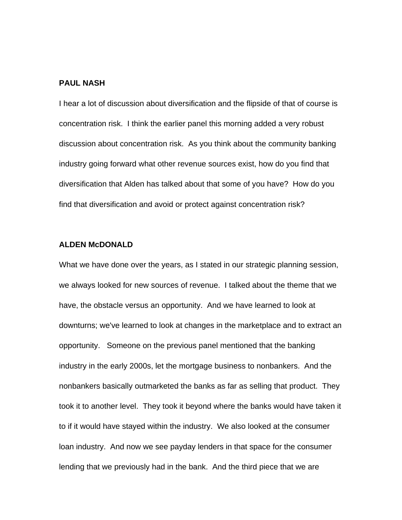#### **PAUL NASH**

I hear a lot of discussion about diversification and the flipside of that of course is concentration risk. I think the earlier panel this morning added a very robust discussion about concentration risk. As you think about the community banking industry going forward what other revenue sources exist, how do you find that diversification that Alden has talked about that some of you have? How do you find that diversification and avoid or protect against concentration risk?

#### **ALDEN McDONALD**

What we have done over the years, as I stated in our strategic planning session, we always looked for new sources of revenue. I talked about the theme that we have, the obstacle versus an opportunity. And we have learned to look at downturns; we've learned to look at changes in the marketplace and to extract an opportunity. Someone on the previous panel mentioned that the banking industry in the early 2000s, let the mortgage business to nonbankers. And the nonbankers basically outmarketed the banks as far as selling that product. They took it to another level. They took it beyond where the banks would have taken it to if it would have stayed within the industry. We also looked at the consumer loan industry. And now we see payday lenders in that space for the consumer lending that we previously had in the bank. And the third piece that we are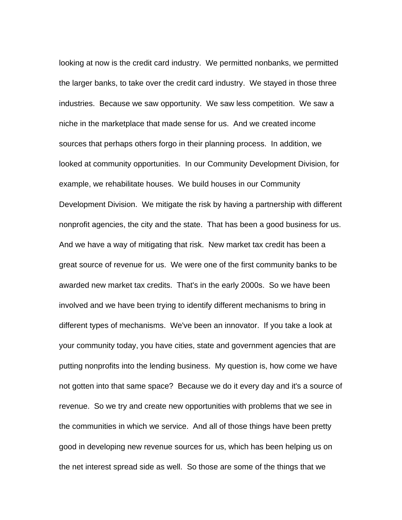looking at now is the credit card industry. We permitted nonbanks, we permitted the larger banks, to take over the credit card industry. We stayed in those three industries. Because we saw opportunity. We saw less competition. We saw a niche in the marketplace that made sense for us. And we created income sources that perhaps others forgo in their planning process. In addition, we looked at community opportunities. In our Community Development Division, for example, we rehabilitate houses. We build houses in our Community Development Division. We mitigate the risk by having a partnership with different nonprofit agencies, the city and the state. That has been a good business for us. And we have a way of mitigating that risk. New market tax credit has been a great source of revenue for us. We were one of the first community banks to be awarded new market tax credits. That's in the early 2000s. So we have been involved and we have been trying to identify different mechanisms to bring in different types of mechanisms. We've been an innovator. If you take a look at your community today, you have cities, state and government agencies that are putting nonprofits into the lending business. My question is, how come we have not gotten into that same space? Because we do it every day and it's a source of revenue. So we try and create new opportunities with problems that we see in the communities in which we service. And all of those things have been pretty good in developing new revenue sources for us, which has been helping us on the net interest spread side as well. So those are some of the things that we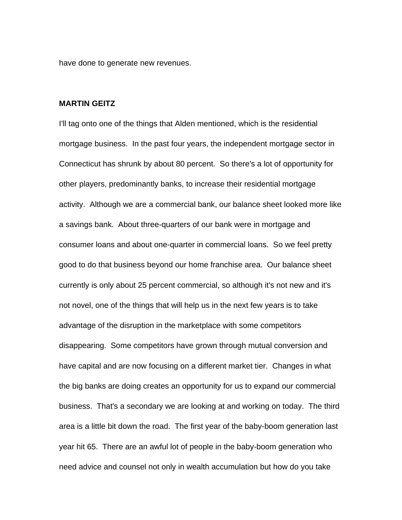have done to generate new revenues.

#### **MARTIN GEITZ**

I'll tag onto one of the things that Alden mentioned, which is the residential mortgage business. In the past four years, the independent mortgage sector in Connecticut has shrunk by about 80 percent. So there's a lot of opportunity for other players, predominantly banks, to increase their residential mortgage activity. Although we are a commercial bank, our balance sheet looked more like a savings bank. About three-quarters of our bank were in mortgage and consumer loans and about one-quarter in commercial loans. So we feel pretty good to do that business beyond our home franchise area. Our balance sheet currently is only about 25 percent commercial, so although it's not new and it's not novel, one of the things that will help us in the next few years is to take advantage of the disruption in the marketplace with some competitors disappearing. Some competitors have grown through mutual conversion and have capital and are now focusing on a different market tier. Changes in what the big banks are doing creates an opportunity for us to expand our commercial business. That's a secondary we are looking at and working on today. The third area is a little bit down the road. The first year of the baby-boom generation last year hit 65. There are an awful lot of people in the baby-boom generation who need advice and counsel not only in wealth accumulation but how do you take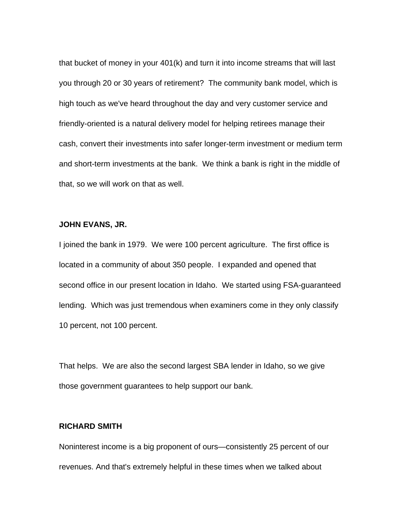that bucket of money in your 401(k) and turn it into income streams that will last you through 20 or 30 years of retirement? The community bank model, which is high touch as we've heard throughout the day and very customer service and friendly-oriented is a natural delivery model for helping retirees manage their cash, convert their investments into safer longer-term investment or medium term and short-term investments at the bank. We think a bank is right in the middle of that, so we will work on that as well.

#### **JOHN EVANS, JR.**

I joined the bank in 1979. We were 100 percent agriculture. The first office is located in a community of about 350 people. I expanded and opened that second office in our present location in Idaho. We started using FSA-guaranteed lending. Which was just tremendous when examiners come in they only classify 10 percent, not 100 percent.

That helps. We are also the second largest SBA lender in Idaho, so we give those government guarantees to help support our bank.

#### **RICHARD SMITH**

Noninterest income is a big proponent of ours—consistently 25 percent of our revenues. And that's extremely helpful in these times when we talked about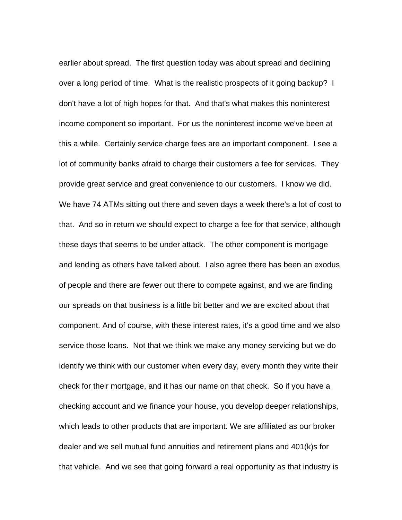earlier about spread. The first question today was about spread and declining over a long period of time. What is the realistic prospects of it going backup? I don't have a lot of high hopes for that. And that's what makes this noninterest income component so important. For us the noninterest income we've been at this a while. Certainly service charge fees are an important component. I see a lot of community banks afraid to charge their customers a fee for services. They provide great service and great convenience to our customers. I know we did. We have 74 ATMs sitting out there and seven days a week there's a lot of cost to that. And so in return we should expect to charge a fee for that service, although these days that seems to be under attack. The other component is mortgage and lending as others have talked about. I also agree there has been an exodus of people and there are fewer out there to compete against, and we are finding our spreads on that business is a little bit better and we are excited about that component. And of course, with these interest rates, it's a good time and we also service those loans. Not that we think we make any money servicing but we do identify we think with our customer when every day, every month they write their check for their mortgage, and it has our name on that check. So if you have a checking account and we finance your house, you develop deeper relationships, which leads to other products that are important. We are affiliated as our broker dealer and we sell mutual fund annuities and retirement plans and 401(k)s for that vehicle. And we see that going forward a real opportunity as that industry is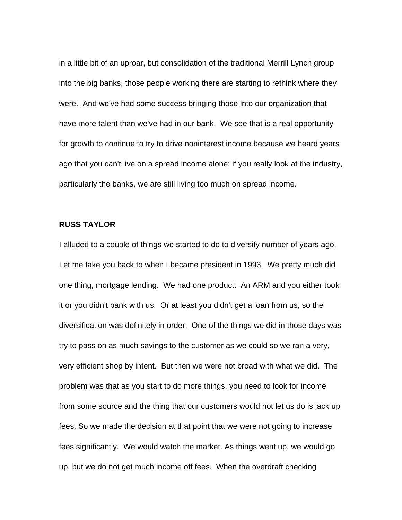in a little bit of an uproar, but consolidation of the traditional Merrill Lynch group into the big banks, those people working there are starting to rethink where they were. And we've had some success bringing those into our organization that have more talent than we've had in our bank. We see that is a real opportunity for growth to continue to try to drive noninterest income because we heard years ago that you can't live on a spread income alone; if you really look at the industry, particularly the banks, we are still living too much on spread income.

# **RUSS TAYLOR**

I alluded to a couple of things we started to do to diversify number of years ago. Let me take you back to when I became president in 1993. We pretty much did one thing, mortgage lending. We had one product. An ARM and you either took it or you didn't bank with us. Or at least you didn't get a loan from us, so the diversification was definitely in order. One of the things we did in those days was try to pass on as much savings to the customer as we could so we ran a very, very efficient shop by intent. But then we were not broad with what we did. The problem was that as you start to do more things, you need to look for income from some source and the thing that our customers would not let us do is jack up fees. So we made the decision at that point that we were not going to increase fees significantly. We would watch the market. As things went up, we would go up, but we do not get much income off fees. When the overdraft checking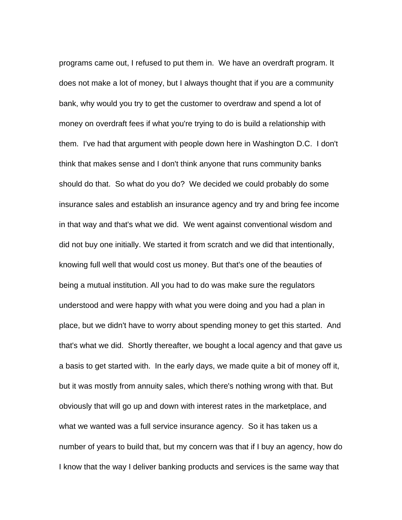programs came out, I refused to put them in. We have an overdraft program. It does not make a lot of money, but I always thought that if you are a community bank, why would you try to get the customer to overdraw and spend a lot of money on overdraft fees if what you're trying to do is build a relationship with them. I've had that argument with people down here in Washington D.C. I don't think that makes sense and I don't think anyone that runs community banks should do that. So what do you do? We decided we could probably do some insurance sales and establish an insurance agency and try and bring fee income in that way and that's what we did. We went against conventional wisdom and did not buy one initially. We started it from scratch and we did that intentionally, knowing full well that would cost us money. But that's one of the beauties of being a mutual institution. All you had to do was make sure the regulators understood and were happy with what you were doing and you had a plan in place, but we didn't have to worry about spending money to get this started. And that's what we did. Shortly thereafter, we bought a local agency and that gave us a basis to get started with. In the early days, we made quite a bit of money off it, but it was mostly from annuity sales, which there's nothing wrong with that. But obviously that will go up and down with interest rates in the marketplace, and what we wanted was a full service insurance agency. So it has taken us a number of years to build that, but my concern was that if I buy an agency, how do I know that the way I deliver banking products and services is the same way that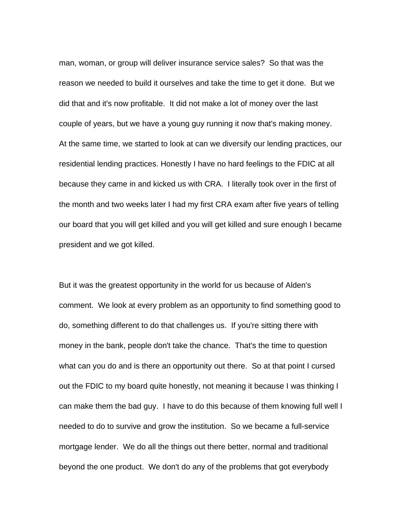man, woman, or group will deliver insurance service sales? So that was the reason we needed to build it ourselves and take the time to get it done. But we did that and it's now profitable. It did not make a lot of money over the last couple of years, but we have a young guy running it now that's making money. At the same time, we started to look at can we diversify our lending practices, our residential lending practices. Honestly I have no hard feelings to the FDIC at all because they came in and kicked us with CRA. I literally took over in the first of the month and two weeks later I had my first CRA exam after five years of telling our board that you will get killed and you will get killed and sure enough I became president and we got killed.

But it was the greatest opportunity in the world for us because of Alden's comment. We look at every problem as an opportunity to find something good to do, something different to do that challenges us. If you're sitting there with money in the bank, people don't take the chance. That's the time to question what can you do and is there an opportunity out there. So at that point I cursed out the FDIC to my board quite honestly, not meaning it because I was thinking I can make them the bad guy. I have to do this because of them knowing full well I needed to do to survive and grow the institution. So we became a full-service mortgage lender. We do all the things out there better, normal and traditional beyond the one product. We don't do any of the problems that got everybody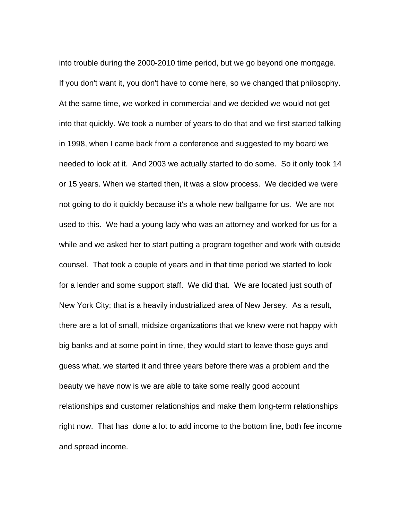into trouble during the 2000-2010 time period, but we go beyond one mortgage. If you don't want it, you don't have to come here, so we changed that philosophy. At the same time, we worked in commercial and we decided we would not get into that quickly. We took a number of years to do that and we first started talking in 1998, when I came back from a conference and suggested to my board we needed to look at it. And 2003 we actually started to do some. So it only took 14 or 15 years. When we started then, it was a slow process. We decided we were not going to do it quickly because it's a whole new ballgame for us. We are not used to this. We had a young lady who was an attorney and worked for us for a while and we asked her to start putting a program together and work with outside counsel. That took a couple of years and in that time period we started to look for a lender and some support staff. We did that. We are located just south of New York City; that is a heavily industrialized area of New Jersey. As a result, there are a lot of small, midsize organizations that we knew were not happy with big banks and at some point in time, they would start to leave those guys and guess what, we started it and three years before there was a problem and the beauty we have now is we are able to take some really good account relationships and customer relationships and make them long-term relationships right now. That has done a lot to add income to the bottom line, both fee income and spread income.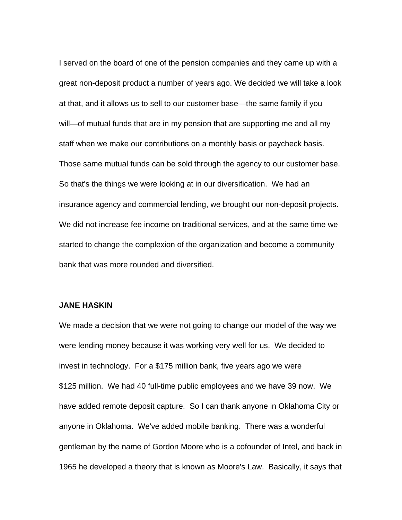I served on the board of one of the pension companies and they came up with a great non-deposit product a number of years ago. We decided we will take a look at that, and it allows us to sell to our customer base—the same family if you will—of mutual funds that are in my pension that are supporting me and all my staff when we make our contributions on a monthly basis or paycheck basis. Those same mutual funds can be sold through the agency to our customer base. So that's the things we were looking at in our diversification. We had an insurance agency and commercial lending, we brought our non-deposit projects. We did not increase fee income on traditional services, and at the same time we started to change the complexion of the organization and become a community bank that was more rounded and diversified.

#### **JANE HASKIN**

We made a decision that we were not going to change our model of the way we were lending money because it was working very well for us. We decided to invest in technology. For a \$175 million bank, five years ago we were \$125 million. We had 40 full-time public employees and we have 39 now. We have added remote deposit capture. So I can thank anyone in Oklahoma City or anyone in Oklahoma. We've added mobile banking. There was a wonderful gentleman by the name of Gordon Moore who is a cofounder of Intel, and back in 1965 he developed a theory that is known as Moore's Law. Basically, it says that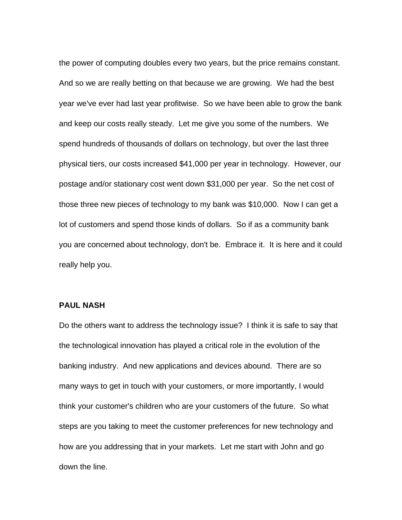the power of computing doubles every two years, but the price remains constant. And so we are really betting on that because we are growing. We had the best year we've ever had last year profitwise. So we have been able to grow the bank and keep our costs really steady. Let me give you some of the numbers. We spend hundreds of thousands of dollars on technology, but over the last three physical tiers, our costs increased \$41,000 per year in technology. However, our postage and/or stationary cost went down \$31,000 per year. So the net cost of those three new pieces of technology to my bank was \$10,000. Now I can get a lot of customers and spend those kinds of dollars. So if as a community bank you are concerned about technology, don't be. Embrace it. It is here and it could really help you.

#### **PAUL NASH**

Do the others want to address the technology issue? I think it is safe to say that the technological innovation has played a critical role in the evolution of the banking industry. And new applications and devices abound. There are so many ways to get in touch with your customers, or more importantly, I would think your customer's children who are your customers of the future. So what steps are you taking to meet the customer preferences for new technology and how are you addressing that in your markets. Let me start with John and go down the line.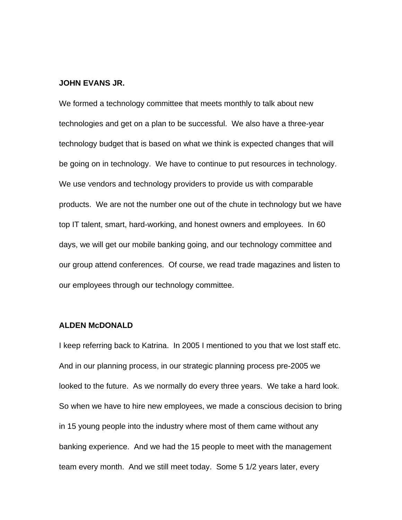#### **JOHN EVANS JR.**

We formed a technology committee that meets monthly to talk about new technologies and get on a plan to be successful. We also have a three-year technology budget that is based on what we think is expected changes that will be going on in technology. We have to continue to put resources in technology. We use vendors and technology providers to provide us with comparable products. We are not the number one out of the chute in technology but we have top IT talent, smart, hard-working, and honest owners and employees. In 60 days, we will get our mobile banking going, and our technology committee and our group attend conferences. Of course, we read trade magazines and listen to our employees through our technology committee.

#### **ALDEN McDONALD**

I keep referring back to Katrina. In 2005 I mentioned to you that we lost staff etc. And in our planning process, in our strategic planning process pre-2005 we looked to the future. As we normally do every three years. We take a hard look. So when we have to hire new employees, we made a conscious decision to bring in 15 young people into the industry where most of them came without any banking experience. And we had the 15 people to meet with the management team every month. And we still meet today. Some 5 1/2 years later, every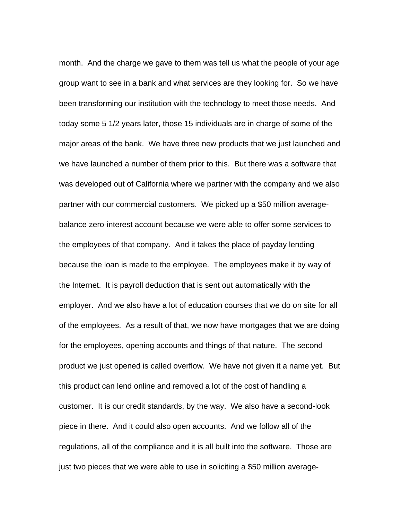month. And the charge we gave to them was tell us what the people of your age group want to see in a bank and what services are they looking for. So we have been transforming our institution with the technology to meet those needs. And today some 5 1/2 years later, those 15 individuals are in charge of some of the major areas of the bank. We have three new products that we just launched and we have launched a number of them prior to this. But there was a software that was developed out of California where we partner with the company and we also partner with our commercial customers. We picked up a \$50 million averagebalance zero-interest account because we were able to offer some services to the employees of that company. And it takes the place of payday lending because the loan is made to the employee. The employees make it by way of the Internet. It is payroll deduction that is sent out automatically with the employer. And we also have a lot of education courses that we do on site for all of the employees. As a result of that, we now have mortgages that we are doing for the employees, opening accounts and things of that nature. The second product we just opened is called overflow. We have not given it a name yet. But this product can lend online and removed a lot of the cost of handling a customer. It is our credit standards, by the way. We also have a second-look piece in there. And it could also open accounts. And we follow all of the regulations, all of the compliance and it is all built into the software. Those are just two pieces that we were able to use in soliciting a \$50 million average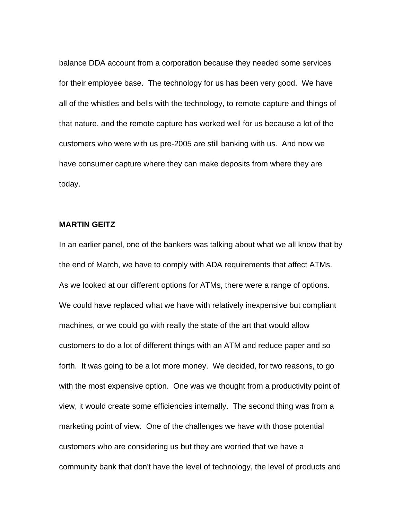balance DDA account from a corporation because they needed some services for their employee base. The technology for us has been very good. We have all of the whistles and bells with the technology, to remote-capture and things of that nature, and the remote capture has worked well for us because a lot of the customers who were with us pre-2005 are still banking with us. And now we have consumer capture where they can make deposits from where they are today.

# **MARTIN GEITZ**

In an earlier panel, one of the bankers was talking about what we all know that by the end of March, we have to comply with ADA requirements that affect ATMs. As we looked at our different options for ATMs, there were a range of options. We could have replaced what we have with relatively inexpensive but compliant machines, or we could go with really the state of the art that would allow customers to do a lot of different things with an ATM and reduce paper and so forth. It was going to be a lot more money. We decided, for two reasons, to go with the most expensive option. One was we thought from a productivity point of view, it would create some efficiencies internally. The second thing was from a marketing point of view. One of the challenges we have with those potential customers who are considering us but they are worried that we have a community bank that don't have the level of technology, the level of products and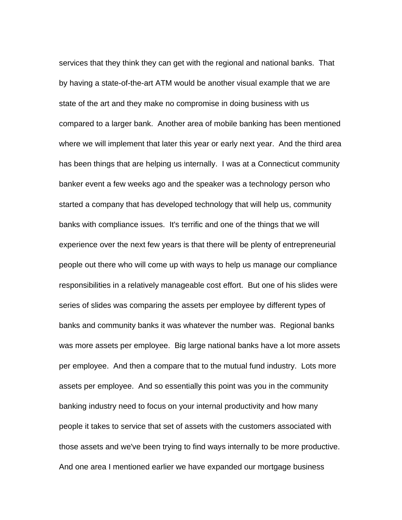services that they think they can get with the regional and national banks. That by having a state-of-the-art ATM would be another visual example that we are state of the art and they make no compromise in doing business with us compared to a larger bank. Another area of mobile banking has been mentioned where we will implement that later this year or early next year. And the third area has been things that are helping us internally. I was at a Connecticut community banker event a few weeks ago and the speaker was a technology person who started a company that has developed technology that will help us, community banks with compliance issues. It's terrific and one of the things that we will experience over the next few years is that there will be plenty of entrepreneurial people out there who will come up with ways to help us manage our compliance responsibilities in a relatively manageable cost effort. But one of his slides were series of slides was comparing the assets per employee by different types of banks and community banks it was whatever the number was. Regional banks was more assets per employee. Big large national banks have a lot more assets per employee. And then a compare that to the mutual fund industry. Lots more assets per employee. And so essentially this point was you in the community banking industry need to focus on your internal productivity and how many people it takes to service that set of assets with the customers associated with those assets and we've been trying to find ways internally to be more productive. And one area I mentioned earlier we have expanded our mortgage business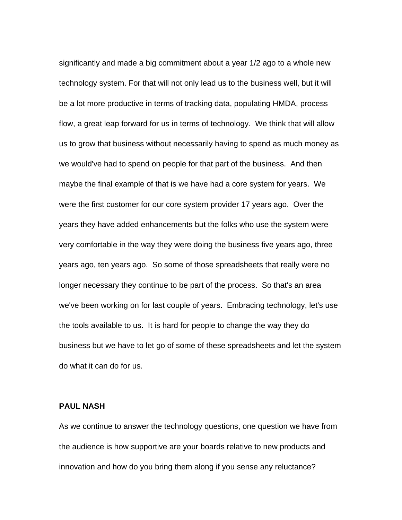significantly and made a big commitment about a year 1/2 ago to a whole new technology system. For that will not only lead us to the business well, but it will be a lot more productive in terms of tracking data, populating HMDA, process flow, a great leap forward for us in terms of technology. We think that will allow us to grow that business without necessarily having to spend as much money as we would've had to spend on people for that part of the business. And then maybe the final example of that is we have had a core system for years. We were the first customer for our core system provider 17 years ago. Over the years they have added enhancements but the folks who use the system were very comfortable in the way they were doing the business five years ago, three years ago, ten years ago. So some of those spreadsheets that really were no longer necessary they continue to be part of the process. So that's an area we've been working on for last couple of years. Embracing technology, let's use the tools available to us. It is hard for people to change the way they do business but we have to let go of some of these spreadsheets and let the system do what it can do for us.

## **PAUL NASH**

As we continue to answer the technology questions, one question we have from the audience is how supportive are your boards relative to new products and innovation and how do you bring them along if you sense any reluctance?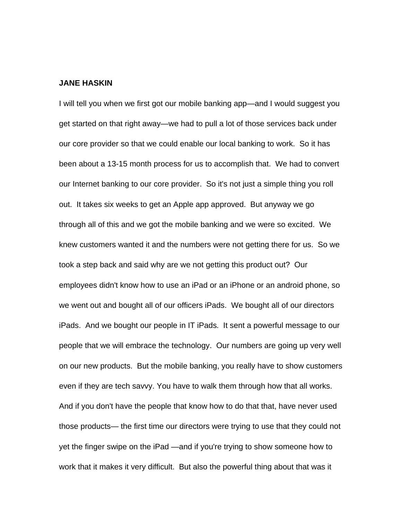#### **JANE HASKIN**

I will tell you when we first got our mobile banking app—and I would suggest you get started on that right away—we had to pull a lot of those services back under our core provider so that we could enable our local banking to work. So it has been about a 13-15 month process for us to accomplish that. We had to convert our Internet banking to our core provider. So it's not just a simple thing you roll out. It takes six weeks to get an Apple app approved. But anyway we go through all of this and we got the mobile banking and we were so excited. We knew customers wanted it and the numbers were not getting there for us. So we took a step back and said why are we not getting this product out? Our employees didn't know how to use an iPad or an iPhone or an android phone, so we went out and bought all of our officers iPads. We bought all of our directors iPads. And we bought our people in IT iPads. It sent a powerful message to our people that we will embrace the technology. Our numbers are going up very well on our new products. But the mobile banking, you really have to show customers even if they are tech savvy. You have to walk them through how that all works. And if you don't have the people that know how to do that that, have never used those products— the first time our directors were trying to use that they could not yet the finger swipe on the iPad —and if you're trying to show someone how to work that it makes it very difficult. But also the powerful thing about that was it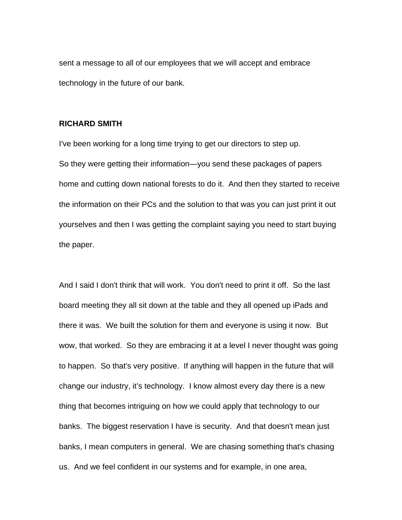sent a message to all of our employees that we will accept and embrace technology in the future of our bank.

# **RICHARD SMITH**

I've been working for a long time trying to get our directors to step up. So they were getting their information—you send these packages of papers home and cutting down national forests to do it. And then they started to receive the information on their PCs and the solution to that was you can just print it out yourselves and then I was getting the complaint saying you need to start buying the paper.

And I said I don't think that will work. You don't need to print it off. So the last board meeting they all sit down at the table and they all opened up iPads and there it was. We built the solution for them and everyone is using it now. But wow, that worked. So they are embracing it at a level I never thought was going to happen. So that's very positive. If anything will happen in the future that will change our industry, it's technology. I know almost every day there is a new thing that becomes intriguing on how we could apply that technology to our banks. The biggest reservation I have is security. And that doesn't mean just banks, I mean computers in general. We are chasing something that's chasing us. And we feel confident in our systems and for example, in one area,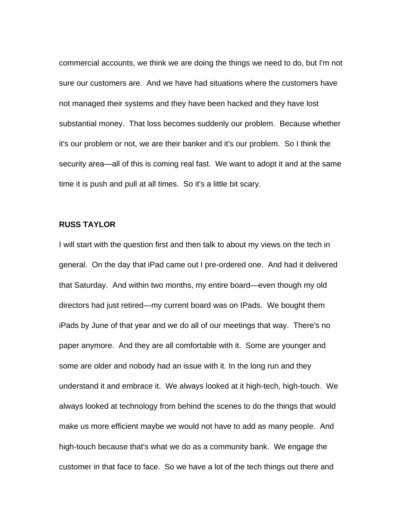commercial accounts, we think we are doing the things we need to do, but I'm not sure our customers are. And we have had situations where the customers have not managed their systems and they have been hacked and they have lost substantial money. That loss becomes suddenly our problem. Because whether it's our problem or not, we are their banker and it's our problem. So I think the security area—all of this is coming real fast. We want to adopt it and at the same time it is push and pull at all times. So it's a little bit scary.

# **RUSS TAYLOR**

I will start with the question first and then talk to about my views on the tech in general. On the day that iPad came out I pre-ordered one. And had it delivered that Saturday. And within two months, my entire board—even though my old directors had just retired—my current board was on IPads. We bought them iPads by June of that year and we do all of our meetings that way. There's no paper anymore. And they are all comfortable with it. Some are younger and some are older and nobody had an issue with it. In the long run and they understand it and embrace it. We always looked at it high-tech, high-touch. We always looked at technology from behind the scenes to do the things that would make us more efficient maybe we would not have to add as many people. And high-touch because that's what we do as a community bank. We engage the customer in that face to face. So we have a lot of the tech things out there and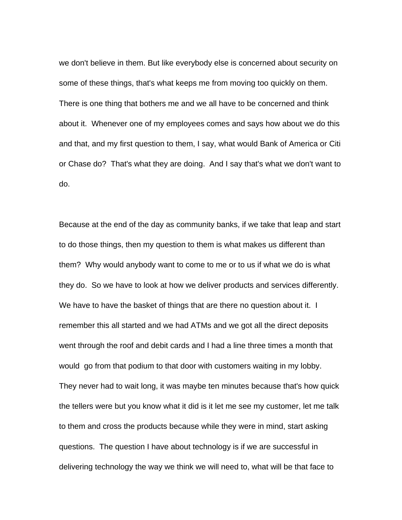we don't believe in them. But like everybody else is concerned about security on some of these things, that's what keeps me from moving too quickly on them. There is one thing that bothers me and we all have to be concerned and think about it. Whenever one of my employees comes and says how about we do this and that, and my first question to them, I say, what would Bank of America or Citi or Chase do? That's what they are doing. And I say that's what we don't want to do.

Because at the end of the day as community banks, if we take that leap and start to do those things, then my question to them is what makes us different than them? Why would anybody want to come to me or to us if what we do is what they do. So we have to look at how we deliver products and services differently. We have to have the basket of things that are there no question about it. I remember this all started and we had ATMs and we got all the direct deposits went through the roof and debit cards and I had a line three times a month that would go from that podium to that door with customers waiting in my lobby. They never had to wait long, it was maybe ten minutes because that's how quick the tellers were but you know what it did is it let me see my customer, let me talk to them and cross the products because while they were in mind, start asking questions. The question I have about technology is if we are successful in delivering technology the way we think we will need to, what will be that face to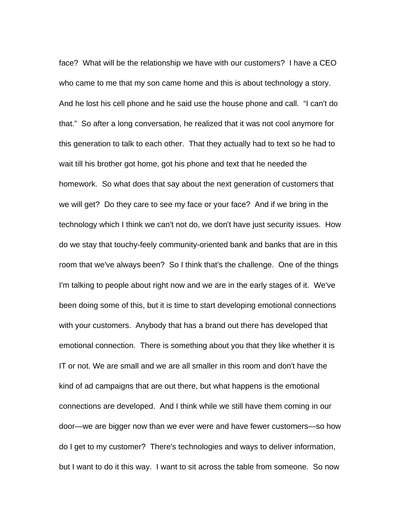face? What will be the relationship we have with our customers? I have a CEO who came to me that my son came home and this is about technology a story. And he lost his cell phone and he said use the house phone and call. "I can't do that." So after a long conversation, he realized that it was not cool anymore for this generation to talk to each other. That they actually had to text so he had to wait till his brother got home, got his phone and text that he needed the homework. So what does that say about the next generation of customers that we will get? Do they care to see my face or your face? And if we bring in the technology which I think we can't not do, we don't have just security issues. How do we stay that touchy-feely community-oriented bank and banks that are in this room that we've always been? So I think that's the challenge. One of the things I'm talking to people about right now and we are in the early stages of it. We've been doing some of this, but it is time to start developing emotional connections with your customers. Anybody that has a brand out there has developed that emotional connection. There is something about you that they like whether it is IT or not. We are small and we are all smaller in this room and don't have the kind of ad campaigns that are out there, but what happens is the emotional connections are developed. And I think while we still have them coming in our door—we are bigger now than we ever were and have fewer customers—so how do I get to my customer? There's technologies and ways to deliver information, but I want to do it this way. I want to sit across the table from someone. So now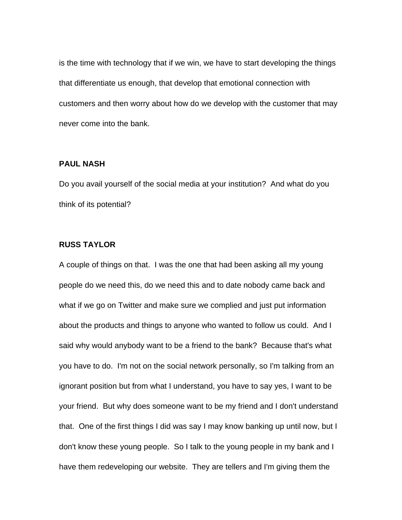is the time with technology that if we win, we have to start developing the things that differentiate us enough, that develop that emotional connection with customers and then worry about how do we develop with the customer that may never come into the bank.

# **PAUL NASH**

Do you avail yourself of the social media at your institution? And what do you think of its potential?

#### **RUSS TAYLOR**

A couple of things on that. I was the one that had been asking all my young people do we need this, do we need this and to date nobody came back and what if we go on Twitter and make sure we complied and just put information about the products and things to anyone who wanted to follow us could. And I said why would anybody want to be a friend to the bank? Because that's what you have to do. I'm not on the social network personally, so I'm talking from an ignorant position but from what I understand, you have to say yes, I want to be your friend. But why does someone want to be my friend and I don't understand that. One of the first things I did was say I may know banking up until now, but I don't know these young people. So I talk to the young people in my bank and I have them redeveloping our website. They are tellers and I'm giving them the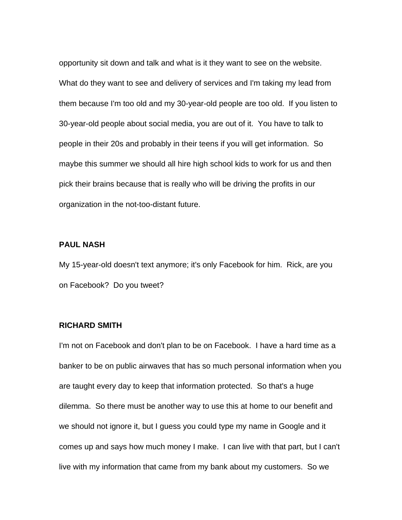opportunity sit down and talk and what is it they want to see on the website. What do they want to see and delivery of services and I'm taking my lead from them because I'm too old and my 30-year-old people are too old. If you listen to 30-year-old people about social media, you are out of it. You have to talk to people in their 20s and probably in their teens if you will get information. So maybe this summer we should all hire high school kids to work for us and then pick their brains because that is really who will be driving the profits in our organization in the not-too-distant future.

#### **PAUL NASH**

My 15-year-old doesn't text anymore; it's only Facebook for him. Rick, are you on Facebook? Do you tweet?

#### **RICHARD SMITH**

I'm not on Facebook and don't plan to be on Facebook. I have a hard time as a banker to be on public airwaves that has so much personal information when you are taught every day to keep that information protected. So that's a huge dilemma. So there must be another way to use this at home to our benefit and we should not ignore it, but I guess you could type my name in Google and it comes up and says how much money I make. I can live with that part, but I can't live with my information that came from my bank about my customers. So we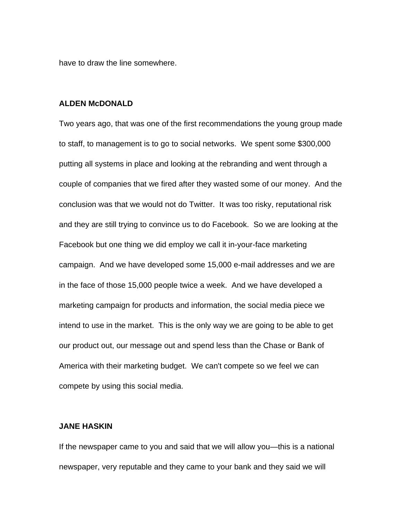have to draw the line somewhere.

#### **ALDEN McDONALD**

Two years ago, that was one of the first recommendations the young group made to staff, to management is to go to social networks. We spent some \$300,000 putting all systems in place and looking at the rebranding and went through a couple of companies that we fired after they wasted some of our money. And the conclusion was that we would not do Twitter. It was too risky, reputational risk and they are still trying to convince us to do Facebook. So we are looking at the Facebook but one thing we did employ we call it in-your-face marketing campaign. And we have developed some 15,000 e-mail addresses and we are in the face of those 15,000 people twice a week. And we have developed a marketing campaign for products and information, the social media piece we intend to use in the market. This is the only way we are going to be able to get our product out, our message out and spend less than the Chase or Bank of America with their marketing budget. We can't compete so we feel we can compete by using this social media.

#### **JANE HASKIN**

If the newspaper came to you and said that we will allow you—this is a national newspaper, very reputable and they came to your bank and they said we will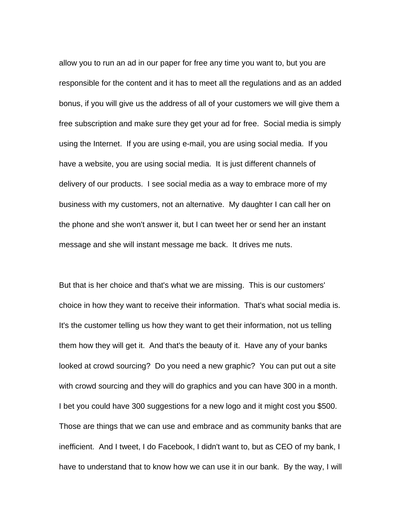allow you to run an ad in our paper for free any time you want to, but you are responsible for the content and it has to meet all the regulations and as an added bonus, if you will give us the address of all of your customers we will give them a free subscription and make sure they get your ad for free. Social media is simply using the Internet. If you are using e-mail, you are using social media. If you have a website, you are using social media. It is just different channels of delivery of our products. I see social media as a way to embrace more of my business with my customers, not an alternative. My daughter I can call her on the phone and she won't answer it, but I can tweet her or send her an instant message and she will instant message me back. It drives me nuts.

But that is her choice and that's what we are missing. This is our customers' choice in how they want to receive their information. That's what social media is. It's the customer telling us how they want to get their information, not us telling them how they will get it. And that's the beauty of it. Have any of your banks looked at crowd sourcing? Do you need a new graphic? You can put out a site with crowd sourcing and they will do graphics and you can have 300 in a month. I bet you could have 300 suggestions for a new logo and it might cost you \$500. Those are things that we can use and embrace and as community banks that are inefficient. And I tweet, I do Facebook, I didn't want to, but as CEO of my bank, I have to understand that to know how we can use it in our bank. By the way, I will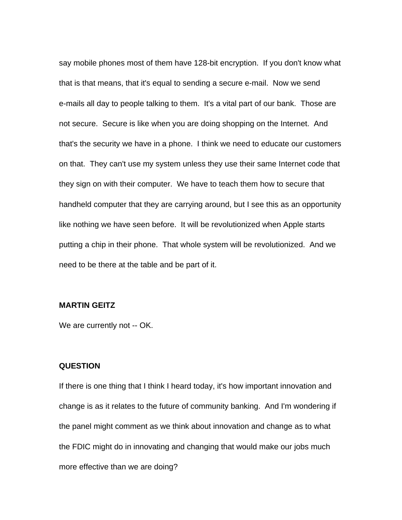say mobile phones most of them have 128-bit encryption. If you don't know what that is that means, that it's equal to sending a secure e-mail. Now we send e-mails all day to people talking to them. It's a vital part of our bank. Those are not secure. Secure is like when you are doing shopping on the Internet. And that's the security we have in a phone. I think we need to educate our customers on that. They can't use my system unless they use their same Internet code that they sign on with their computer. We have to teach them how to secure that handheld computer that they are carrying around, but I see this as an opportunity like nothing we have seen before. It will be revolutionized when Apple starts putting a chip in their phone. That whole system will be revolutionized. And we need to be there at the table and be part of it.

#### **MARTIN GEITZ**

We are currently not -- OK.

#### **QUESTION**

If there is one thing that I think I heard today, it's how important innovation and change is as it relates to the future of community banking. And I'm wondering if the panel might comment as we think about innovation and change as to what the FDIC might do in innovating and changing that would make our jobs much more effective than we are doing?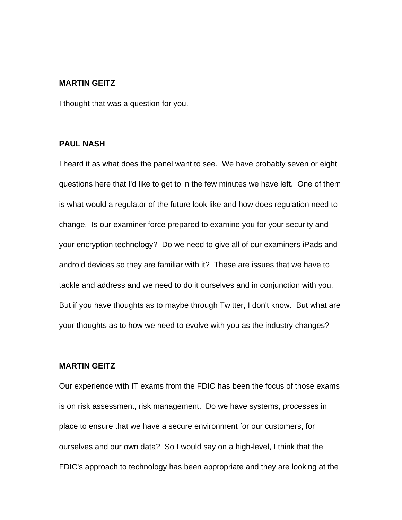#### **MARTIN GEITZ**

I thought that was a question for you.

#### **PAUL NASH**

I heard it as what does the panel want to see. We have probably seven or eight questions here that I'd like to get to in the few minutes we have left. One of them is what would a regulator of the future look like and how does regulation need to change. Is our examiner force prepared to examine you for your security and your encryption technology? Do we need to give all of our examiners iPads and android devices so they are familiar with it? These are issues that we have to tackle and address and we need to do it ourselves and in conjunction with you. But if you have thoughts as to maybe through Twitter, I don't know. But what are your thoughts as to how we need to evolve with you as the industry changes?

# **MARTIN GEITZ**

Our experience with IT exams from the FDIC has been the focus of those exams is on risk assessment, risk management. Do we have systems, processes in place to ensure that we have a secure environment for our customers, for ourselves and our own data? So I would say on a high-level, I think that the FDIC's approach to technology has been appropriate and they are looking at the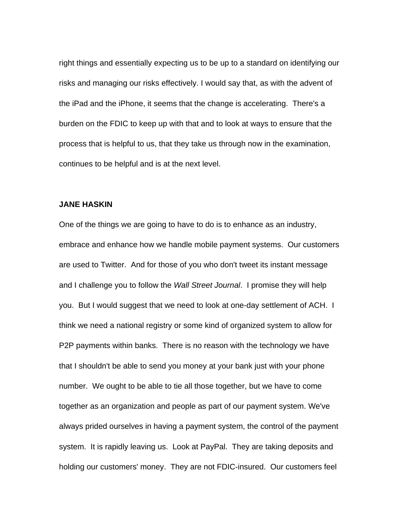right things and essentially expecting us to be up to a standard on identifying our risks and managing our risks effectively. I would say that, as with the advent of the iPad and the iPhone, it seems that the change is accelerating. There's a burden on the FDIC to keep up with that and to look at ways to ensure that the process that is helpful to us, that they take us through now in the examination, continues to be helpful and is at the next level.

#### **JANE HASKIN**

One of the things we are going to have to do is to enhance as an industry, embrace and enhance how we handle mobile payment systems. Our customers are used to Twitter. And for those of you who don't tweet its instant message and I challenge you to follow the *Wall Street Journal*. I promise they will help you. But I would suggest that we need to look at one-day settlement of ACH. I think we need a national registry or some kind of organized system to allow for P2P payments within banks. There is no reason with the technology we have that I shouldn't be able to send you money at your bank just with your phone number. We ought to be able to tie all those together, but we have to come together as an organization and people as part of our payment system. We've always prided ourselves in having a payment system, the control of the payment system. It is rapidly leaving us. Look at PayPal. They are taking deposits and holding our customers' money. They are not FDIC-insured. Our customers feel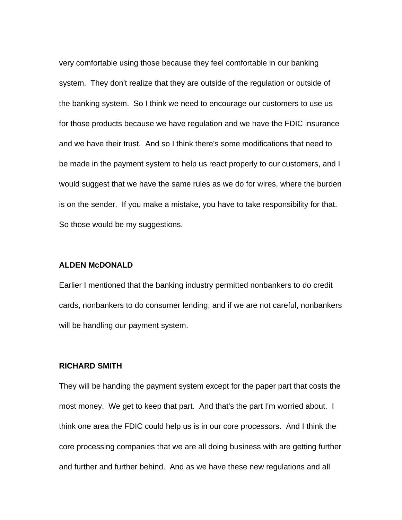very comfortable using those because they feel comfortable in our banking system. They don't realize that they are outside of the regulation or outside of the banking system. So I think we need to encourage our customers to use us for those products because we have regulation and we have the FDIC insurance and we have their trust. And so I think there's some modifications that need to be made in the payment system to help us react properly to our customers, and I would suggest that we have the same rules as we do for wires, where the burden is on the sender. If you make a mistake, you have to take responsibility for that. So those would be my suggestions.

#### **ALDEN McDONALD**

Earlier I mentioned that the banking industry permitted nonbankers to do credit cards, nonbankers to do consumer lending; and if we are not careful, nonbankers will be handling our payment system.

#### **RICHARD SMITH**

They will be handing the payment system except for the paper part that costs the most money. We get to keep that part. And that's the part I'm worried about. I think one area the FDIC could help us is in our core processors. And I think the core processing companies that we are all doing business with are getting further and further and further behind. And as we have these new regulations and all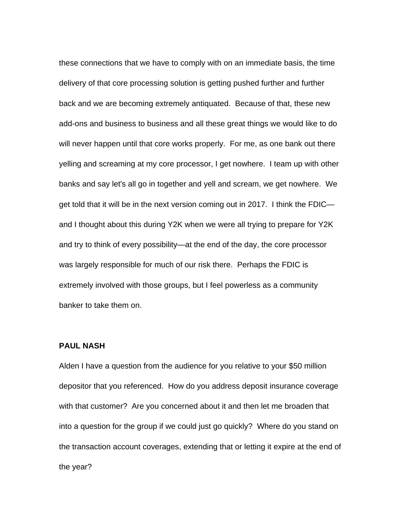these connections that we have to comply with on an immediate basis, the time delivery of that core processing solution is getting pushed further and further back and we are becoming extremely antiquated. Because of that, these new add-ons and business to business and all these great things we would like to do will never happen until that core works properly. For me, as one bank out there yelling and screaming at my core processor, I get nowhere. I team up with other banks and say let's all go in together and yell and scream, we get nowhere. We get told that it will be in the next version coming out in 2017. I think the FDIC and I thought about this during Y2K when we were all trying to prepare for Y2K and try to think of every possibility—at the end of the day, the core processor was largely responsible for much of our risk there. Perhaps the FDIC is extremely involved with those groups, but I feel powerless as a community banker to take them on.

#### **PAUL NASH**

Alden I have a question from the audience for you relative to your \$50 million depositor that you referenced. How do you address deposit insurance coverage with that customer? Are you concerned about it and then let me broaden that into a question for the group if we could just go quickly? Where do you stand on the transaction account coverages, extending that or letting it expire at the end of the year?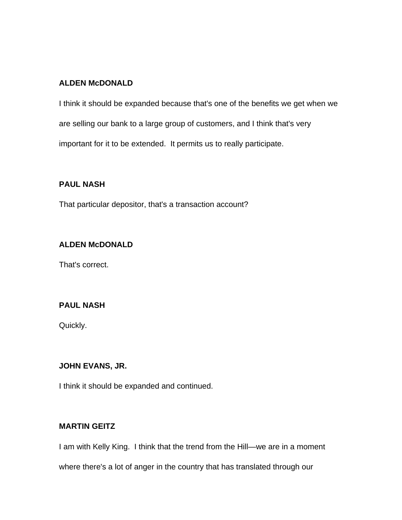# **ALDEN McDONALD**

I think it should be expanded because that's one of the benefits we get when we are selling our bank to a large group of customers, and I think that's very important for it to be extended. It permits us to really participate.

# **PAUL NASH**

That particular depositor, that's a transaction account?

# **ALDEN McDONALD**

That's correct.

# **PAUL NASH**

Quickly.

# **JOHN EVANS, JR.**

I think it should be expanded and continued.

# **MARTIN GEITZ**

I am with Kelly King. I think that the trend from the Hill—we are in a moment

where there's a lot of anger in the country that has translated through our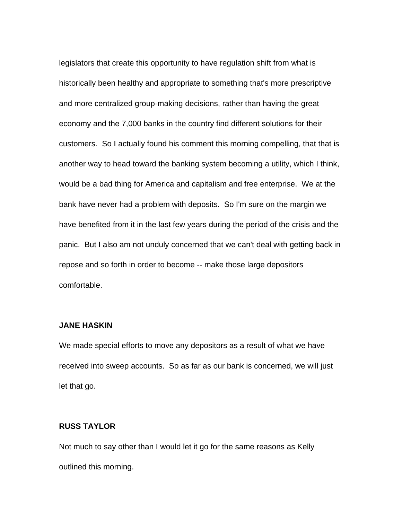legislators that create this opportunity to have regulation shift from what is historically been healthy and appropriate to something that's more prescriptive and more centralized group-making decisions, rather than having the great economy and the 7,000 banks in the country find different solutions for their customers. So I actually found his comment this morning compelling, that that is another way to head toward the banking system becoming a utility, which I think, would be a bad thing for America and capitalism and free enterprise. We at the bank have never had a problem with deposits. So I'm sure on the margin we have benefited from it in the last few years during the period of the crisis and the panic. But I also am not unduly concerned that we can't deal with getting back in repose and so forth in order to become -- make those large depositors comfortable.

# **JANE HASKIN**

We made special efforts to move any depositors as a result of what we have received into sweep accounts. So as far as our bank is concerned, we will just let that go.

#### **RUSS TAYLOR**

Not much to say other than I would let it go for the same reasons as Kelly outlined this morning.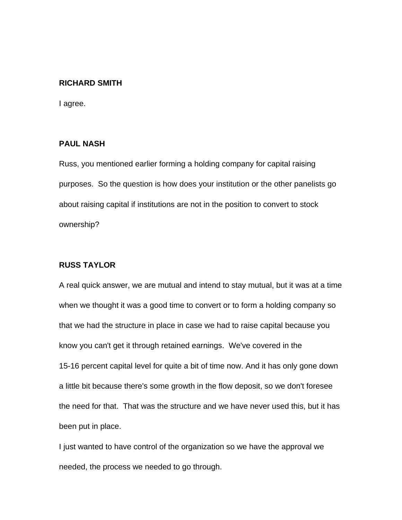#### **RICHARD SMITH**

I agree.

# **PAUL NASH**

Russ, you mentioned earlier forming a holding company for capital raising purposes. So the question is how does your institution or the other panelists go about raising capital if institutions are not in the position to convert to stock ownership?

# **RUSS TAYLOR**

A real quick answer, we are mutual and intend to stay mutual, but it was at a time when we thought it was a good time to convert or to form a holding company so that we had the structure in place in case we had to raise capital because you know you can't get it through retained earnings. We've covered in the 15-16 percent capital level for quite a bit of time now. And it has only gone down a little bit because there's some growth in the flow deposit, so we don't foresee the need for that. That was the structure and we have never used this, but it has been put in place.

I just wanted to have control of the organization so we have the approval we needed, the process we needed to go through.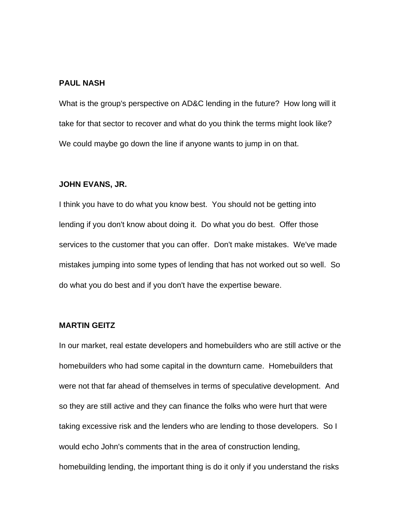#### **PAUL NASH**

What is the group's perspective on AD&C lending in the future? How long will it take for that sector to recover and what do you think the terms might look like? We could maybe go down the line if anyone wants to jump in on that.

#### **JOHN EVANS, JR.**

I think you have to do what you know best. You should not be getting into lending if you don't know about doing it. Do what you do best. Offer those services to the customer that you can offer. Don't make mistakes. We've made mistakes jumping into some types of lending that has not worked out so well. So do what you do best and if you don't have the expertise beware.

#### **MARTIN GEITZ**

In our market, real estate developers and homebuilders who are still active or the homebuilders who had some capital in the downturn came. Homebuilders that were not that far ahead of themselves in terms of speculative development. And so they are still active and they can finance the folks who were hurt that were taking excessive risk and the lenders who are lending to those developers. So I would echo John's comments that in the area of construction lending, homebuilding lending, the important thing is do it only if you understand the risks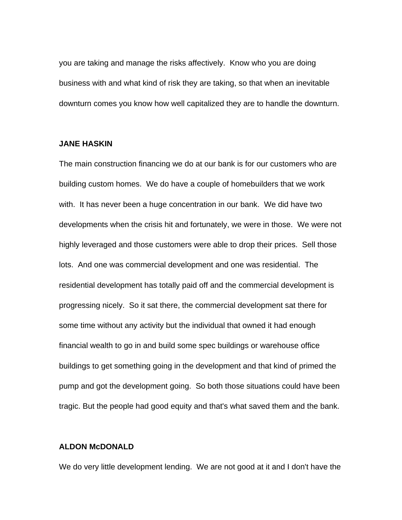you are taking and manage the risks affectively. Know who you are doing business with and what kind of risk they are taking, so that when an inevitable downturn comes you know how well capitalized they are to handle the downturn.

#### **JANE HASKIN**

The main construction financing we do at our bank is for our customers who are building custom homes. We do have a couple of homebuilders that we work with. It has never been a huge concentration in our bank. We did have two developments when the crisis hit and fortunately, we were in those. We were not highly leveraged and those customers were able to drop their prices. Sell those lots. And one was commercial development and one was residential. The residential development has totally paid off and the commercial development is progressing nicely. So it sat there, the commercial development sat there for some time without any activity but the individual that owned it had enough financial wealth to go in and build some spec buildings or warehouse office buildings to get something going in the development and that kind of primed the pump and got the development going. So both those situations could have been tragic. But the people had good equity and that's what saved them and the bank.

## **ALDON McDONALD**

We do very little development lending. We are not good at it and I don't have the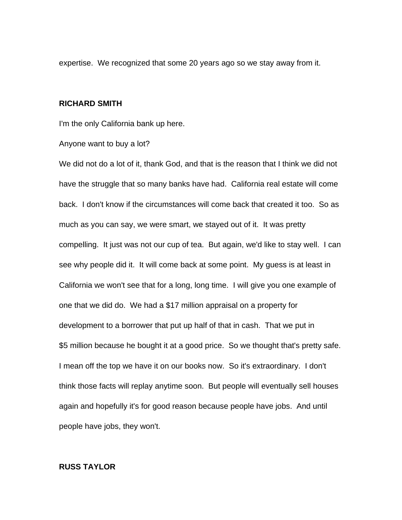expertise. We recognized that some 20 years ago so we stay away from it.

#### **RICHARD SMITH**

I'm the only California bank up here.

#### Anyone want to buy a lot?

We did not do a lot of it, thank God, and that is the reason that I think we did not have the struggle that so many banks have had. California real estate will come back. I don't know if the circumstances will come back that created it too. So as much as you can say, we were smart, we stayed out of it. It was pretty compelling. It just was not our cup of tea. But again, we'd like to stay well. I can see why people did it. It will come back at some point. My guess is at least in California we won't see that for a long, long time. I will give you one example of one that we did do. We had a \$17 million appraisal on a property for development to a borrower that put up half of that in cash. That we put in \$5 million because he bought it at a good price. So we thought that's pretty safe. I mean off the top we have it on our books now. So it's extraordinary. I don't think those facts will replay anytime soon. But people will eventually sell houses again and hopefully it's for good reason because people have jobs. And until people have jobs, they won't.

# **RUSS TAYLOR**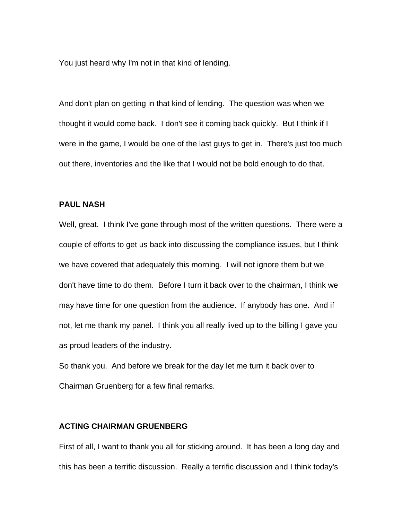You just heard why I'm not in that kind of lending.

And don't plan on getting in that kind of lending. The question was when we thought it would come back. I don't see it coming back quickly. But I think if I were in the game, I would be one of the last guys to get in. There's just too much out there, inventories and the like that I would not be bold enough to do that.

#### **PAUL NASH**

Well, great. I think I've gone through most of the written questions. There were a couple of efforts to get us back into discussing the compliance issues, but I think we have covered that adequately this morning. I will not ignore them but we don't have time to do them. Before I turn it back over to the chairman, I think we may have time for one question from the audience. If anybody has one. And if not, let me thank my panel. I think you all really lived up to the billing I gave you as proud leaders of the industry.

So thank you. And before we break for the day let me turn it back over to Chairman Gruenberg for a few final remarks.

#### **ACTING CHAIRMAN GRUENBERG**

First of all, I want to thank you all for sticking around. It has been a long day and this has been a terrific discussion. Really a terrific discussion and I think today's